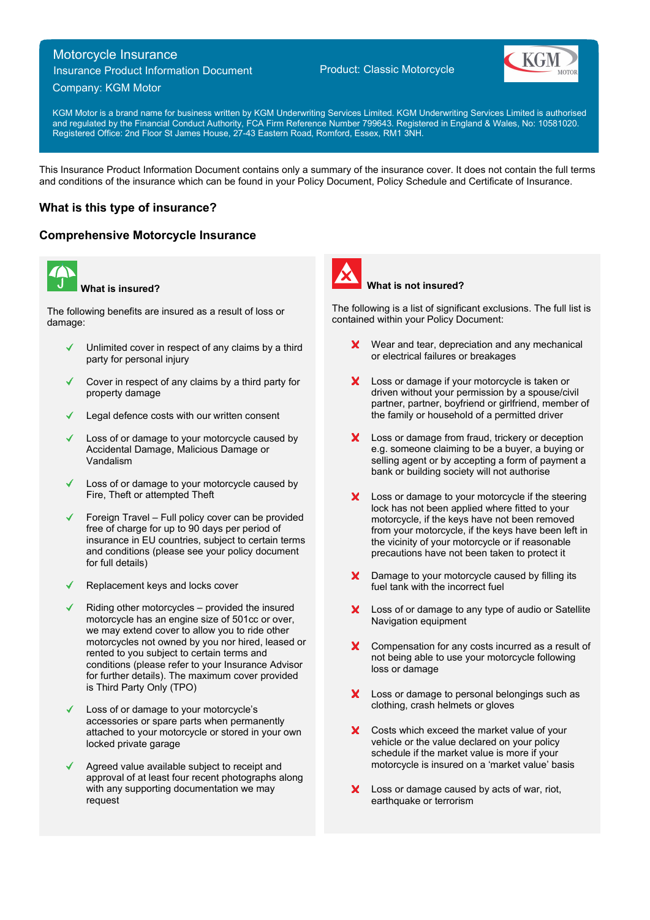# Motorcycle Insurance

Insurance Product Information Document

## Company: KGM Motor

Product: Classic Motorcycle



KGM Motor is a brand name for business written by KGM Underwriting Services Limited. KGM Underwriting Services Limited is authorised and regulated by the Financial Conduct Authority, FCA Firm Reference Number 799643. Registered in England & Wales, No: 10581020. Registered Office: 2nd Floor St James House, 27-43 Eastern Road, Romford, Essex, RM1 3NH.

This Insurance Product Information Document contains only a summary of the insurance cover. It does not contain the full terms and conditions of the insurance which can be found in your Policy Document, Policy Schedule and Certificate of Insurance.

## **What is this type of insurance?**

## **Comprehensive Motorcycle Insurance**



**What is insured?**

The following benefits are insured as a result of loss or damage:

- Unlimited cover in respect of any claims by a third party for personal injury
- Cover in respect of any claims by a third party for property damage
- Legal defence costs with our written consent
- Loss of or damage to your motorcycle caused by Accidental Damage, Malicious Damage or Vandalism
- Loss of or damage to your motorcycle caused by Fire, Theft or attempted Theft
- Foreign Travel Full policy cover can be provided free of charge for up to 90 days per period of insurance in EU countries, subject to certain terms and conditions (please see your policy document for full details)
- Replacement keys and locks cover
- Riding other motorcycles provided the insured motorcycle has an engine size of 501cc or over, we may extend cover to allow you to ride other motorcycles not owned by you nor hired, leased or rented to you subject to certain terms and conditions (please refer to your Insurance Advisor for further details). The maximum cover provided is Third Party Only (TPO)
- Loss of or damage to your motorcycle's accessories or spare parts when permanently attached to your motorcycle or stored in your own locked private garage
- Agreed value available subject to receipt and approval of at least four recent photographs along with any supporting documentation we may request



### **What is not insured?**

The following is a list of significant exclusions. The full list is contained within your Policy Document:

- **X** Wear and tear, depreciation and any mechanical or electrical failures or breakages
- X Loss or damage if your motorcycle is taken or driven without your permission by a spouse/civil partner, partner, boyfriend or girlfriend, member of the family or household of a permitted driver
- X Loss or damage from fraud, trickery or deception e.g. someone claiming to be a buyer, a buying or selling agent or by accepting a form of payment a bank or building society will not authorise
- X Loss or damage to your motorcycle if the steering lock has not been applied where fitted to your motorcycle, if the keys have not been removed from your motorcycle, if the keys have been left in the vicinity of your motorcycle or if reasonable precautions have not been taken to protect it
- Damage to your motorcycle caused by filling its fuel tank with the incorrect fuel
- Loss of or damage to any type of audio or Satellite Navigation equipment
- X Compensation for any costs incurred as a result of not being able to use your motorcycle following loss or damage
- X Loss or damage to personal belongings such as clothing, crash helmets or gloves
- X Costs which exceed the market value of your vehicle or the value declared on your policy schedule if the market value is more if your motorcycle is insured on a 'market value' basis
- X Loss or damage caused by acts of war, riot, earthquake or terrorism